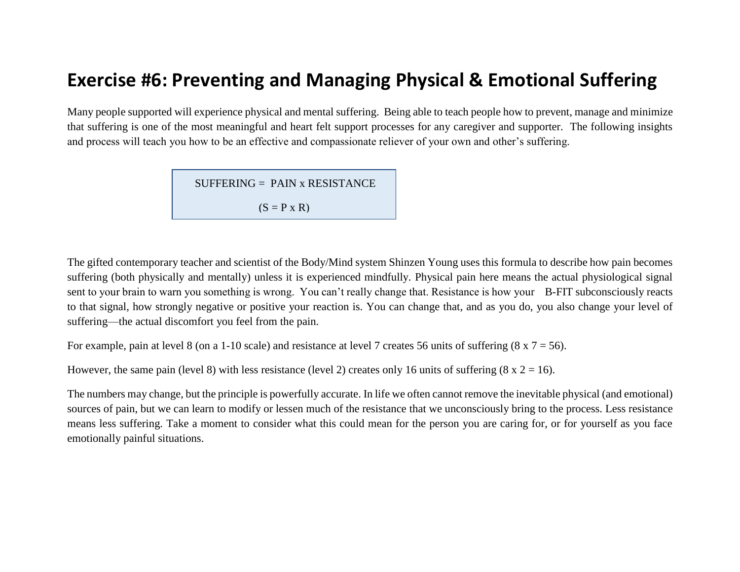# **Exercise #6: Preventing and Managing Physical & Emotional Suffering**

Many people supported will experience physical and mental suffering. Being able to teach people how to prevent, manage and minimize that suffering is one of the most meaningful and heart felt support processes for any caregiver and supporter. The following insights and process will teach you how to be an effective and compassionate reliever of your own and other's suffering.

 $SUFFERING = PAIN \times RESISTANCE$ 

 $(S = P \times R)$ 

The gifted contemporary teacher and scientist of the Body/Mind system Shinzen Young uses this formula to describe how pain becomes suffering (both physically and mentally) unless it is experienced mindfully. Physical pain here means the actual physiological signal sent to your brain to warn you something is wrong. You can't really change that. Resistance is how your B-FIT subconsciously reacts to that signal, how strongly negative or positive your reaction is. You can change that, and as you do, you also change your level of suffering—the actual discomfort you feel from the pain.

For example, pain at level 8 (on a 1-10 scale) and resistance at level 7 creates 56 units of suffering  $(8 \times 7 = 56)$ .

However, the same pain (level 8) with less resistance (level 2) creates only 16 units of suffering  $(8 \times 2 = 16)$ .

The numbers may change, but the principle is powerfully accurate. In life we often cannot remove the inevitable physical (and emotional) sources of pain, but we can learn to modify or lessen much of the resistance that we unconsciously bring to the process. Less resistance means less suffering. Take a moment to consider what this could mean for the person you are caring for, or for yourself as you face emotionally painful situations.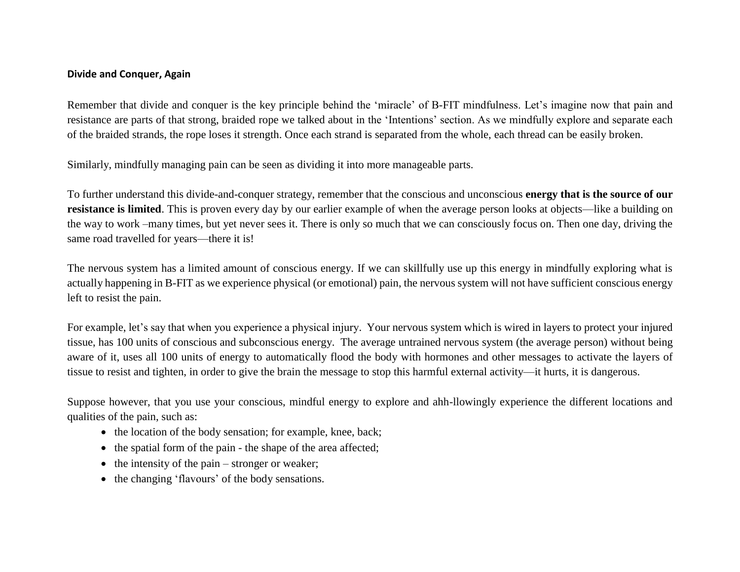#### **Divide and Conquer, Again**

Remember that divide and conquer is the key principle behind the 'miracle' of B-FIT mindfulness. Let's imagine now that pain and resistance are parts of that strong, braided rope we talked about in the 'Intentions' section. As we mindfully explore and separate each of the braided strands, the rope loses it strength. Once each strand is separated from the whole, each thread can be easily broken.

Similarly, mindfully managing pain can be seen as dividing it into more manageable parts.

To further understand this divide-and-conquer strategy, remember that the conscious and unconscious **energy that is the source of our resistance is limited**. This is proven every day by our earlier example of when the average person looks at objects—like a building on the way to work –many times, but yet never sees it. There is only so much that we can consciously focus on. Then one day, driving the same road travelled for years—there it is!

The nervous system has a limited amount of conscious energy. If we can skillfully use up this energy in mindfully exploring what is actually happening in B-FIT as we experience physical (or emotional) pain, the nervous system will not have sufficient conscious energy left to resist the pain.

For example, let's say that when you experience a physical injury. Your nervous system which is wired in layers to protect your injured tissue, has 100 units of conscious and subconscious energy. The average untrained nervous system (the average person) without being aware of it, uses all 100 units of energy to automatically flood the body with hormones and other messages to activate the layers of tissue to resist and tighten, in order to give the brain the message to stop this harmful external activity—it hurts, it is dangerous.

Suppose however, that you use your conscious, mindful energy to explore and ahh-llowingly experience the different locations and qualities of the pain, such as:

- the location of the body sensation; for example, knee, back;
- $\bullet$  the spatial form of the pain the shape of the area affected;
- $\bullet$  the intensity of the pain stronger or weaker;
- the changing 'flavours' of the body sensations.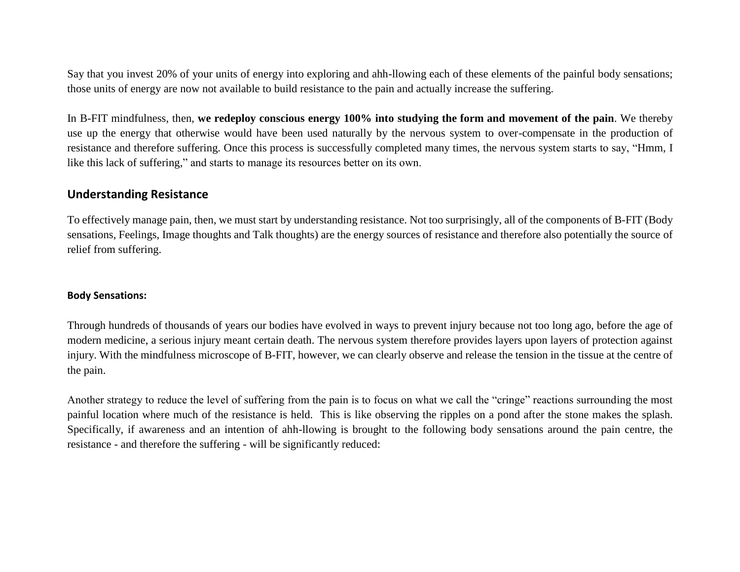Say that you invest 20% of your units of energy into exploring and ahh-llowing each of these elements of the painful body sensations; those units of energy are now not available to build resistance to the pain and actually increase the suffering.

In B-FIT mindfulness, then, **we redeploy conscious energy 100% into studying the form and movement of the pain**. We thereby use up the energy that otherwise would have been used naturally by the nervous system to over-compensate in the production of resistance and therefore suffering. Once this process is successfully completed many times, the nervous system starts to say, "Hmm, I like this lack of suffering," and starts to manage its resources better on its own.

# **Understanding Resistance**

To effectively manage pain, then, we must start by understanding resistance. Not too surprisingly, all of the components of B-FIT (Body sensations, Feelings, Image thoughts and Talk thoughts) are the energy sources of resistance and therefore also potentially the source of relief from suffering.

## **Body Sensations:**

Through hundreds of thousands of years our bodies have evolved in ways to prevent injury because not too long ago, before the age of modern medicine, a serious injury meant certain death. The nervous system therefore provides layers upon layers of protection against injury. With the mindfulness microscope of B-FIT, however, we can clearly observe and release the tension in the tissue at the centre of the pain.

Another strategy to reduce the level of suffering from the pain is to focus on what we call the "cringe" reactions surrounding the most painful location where much of the resistance is held. This is like observing the ripples on a pond after the stone makes the splash. Specifically, if awareness and an intention of ahh-llowing is brought to the following body sensations around the pain centre, the resistance - and therefore the suffering - will be significantly reduced: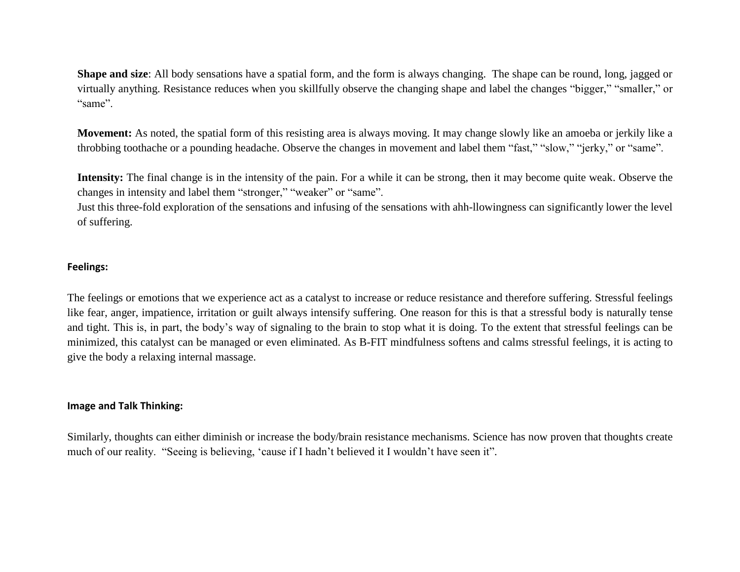**Shape and size**: All body sensations have a spatial form, and the form is always changing. The shape can be round, long, jagged or virtually anything. Resistance reduces when you skillfully observe the changing shape and label the changes "bigger," "smaller," or "same".

**Movement:** As noted, the spatial form of this resisting area is always moving. It may change slowly like an amoeba or jerkily like a throbbing toothache or a pounding headache. Observe the changes in movement and label them "fast," "slow," "jerky," or "same".

**Intensity:** The final change is in the intensity of the pain. For a while it can be strong, then it may become quite weak. Observe the changes in intensity and label them "stronger," "weaker" or "same".

Just this three-fold exploration of the sensations and infusing of the sensations with ahh-llowingness can significantly lower the level of suffering.

#### **Feelings:**

The feelings or emotions that we experience act as a catalyst to increase or reduce resistance and therefore suffering. Stressful feelings like fear, anger, impatience, irritation or guilt always intensify suffering. One reason for this is that a stressful body is naturally tense and tight. This is, in part, the body's way of signaling to the brain to stop what it is doing. To the extent that stressful feelings can be minimized, this catalyst can be managed or even eliminated. As B-FIT mindfulness softens and calms stressful feelings, it is acting to give the body a relaxing internal massage.

#### **Image and Talk Thinking:**

Similarly, thoughts can either diminish or increase the body/brain resistance mechanisms. Science has now proven that thoughts create much of our reality. "Seeing is believing, 'cause if I hadn't believed it I wouldn't have seen it".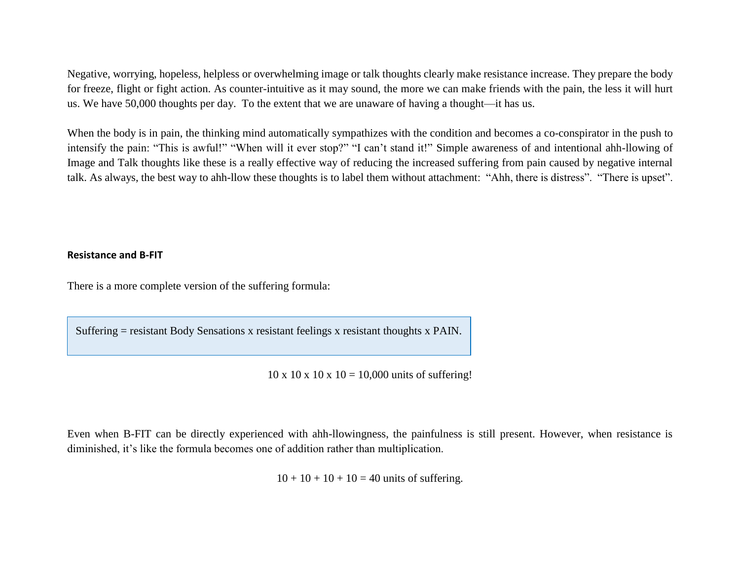Negative, worrying, hopeless, helpless or overwhelming image or talk thoughts clearly make resistance increase. They prepare the body for freeze, flight or fight action. As counter-intuitive as it may sound, the more we can make friends with the pain, the less it will hurt us. We have 50,000 thoughts per day. To the extent that we are unaware of having a thought—it has us.

When the body is in pain, the thinking mind automatically sympathizes with the condition and becomes a co-conspirator in the push to intensify the pain: "This is awful!" "When will it ever stop?" "I can't stand it!" Simple awareness of and intentional ahh-llowing of Image and Talk thoughts like these is a really effective way of reducing the increased suffering from pain caused by negative internal talk. As always, the best way to ahh-llow these thoughts is to label them without attachment: "Ahh, there is distress". "There is upset".

#### **Resistance and B-FIT**

There is a more complete version of the suffering formula:

Suffering = resistant Body Sensations x resistant feelings x resistant thoughts x PAIN.

 $10 \times 10 \times 10 \times 10 = 10,000$  units of suffering!

Even when B-FIT can be directly experienced with ahh-llowingness, the painfulness is still present. However, when resistance is diminished, it's like the formula becomes one of addition rather than multiplication.

 $10 + 10 + 10 + 10 = 40$  units of suffering.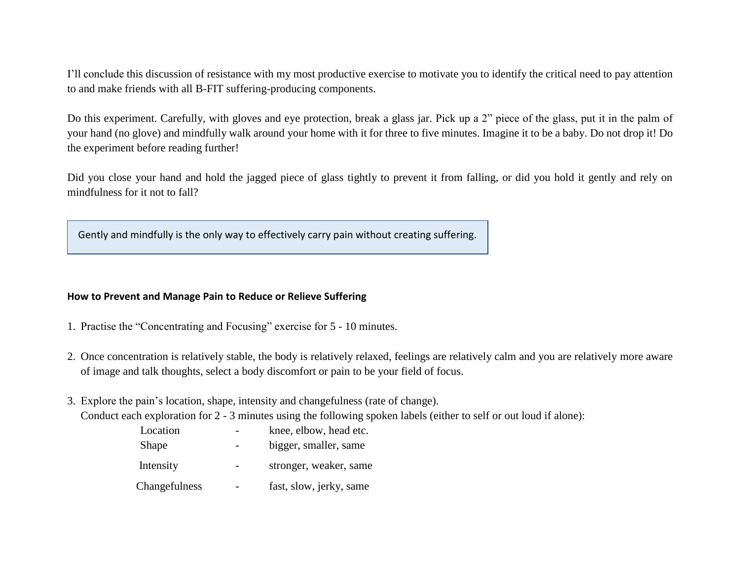I'll conclude this discussion of resistance with my most productive exercise to motivate you to identify the critical need to pay attention to and make friends with all B-FIT suffering-producing components.

Do this experiment. Carefully, with gloves and eye protection, break a glass jar. Pick up a 2" piece of the glass, put it in the palm of your hand (no glove) and mindfully walk around your home with it for three to five minutes. Imagine it to be a baby. Do not drop it! Do the experiment before reading further!

Did you close your hand and hold the jagged piece of glass tightly to prevent it from falling, or did you hold it gently and rely on mindfulness for it not to fall?

Gently and mindfully is the only way to effectively carry pain without creating suffering.

## **How to Prevent and Manage Pain to Reduce or Relieve Suffering**

- 1. Practise the "Concentrating and Focusing" exercise for 5 10 minutes.
- 2. Once concentration is relatively stable, the body is relatively relaxed, feelings are relatively calm and you are relatively more aware of image and talk thoughts, select a body discomfort or pain to be your field of focus.
- 3. Explore the pain's location, shape, intensity and changefulness (rate of change).

Conduct each exploration for 2 - 3 minutes using the following spoken labels (either to self or out loud if alone):

| Location      | knee, elbow, head etc.  |
|---------------|-------------------------|
| Shape         | bigger, smaller, same   |
| Intensity     | stronger, weaker, same  |
| Changefulness | fast, slow, jerky, same |